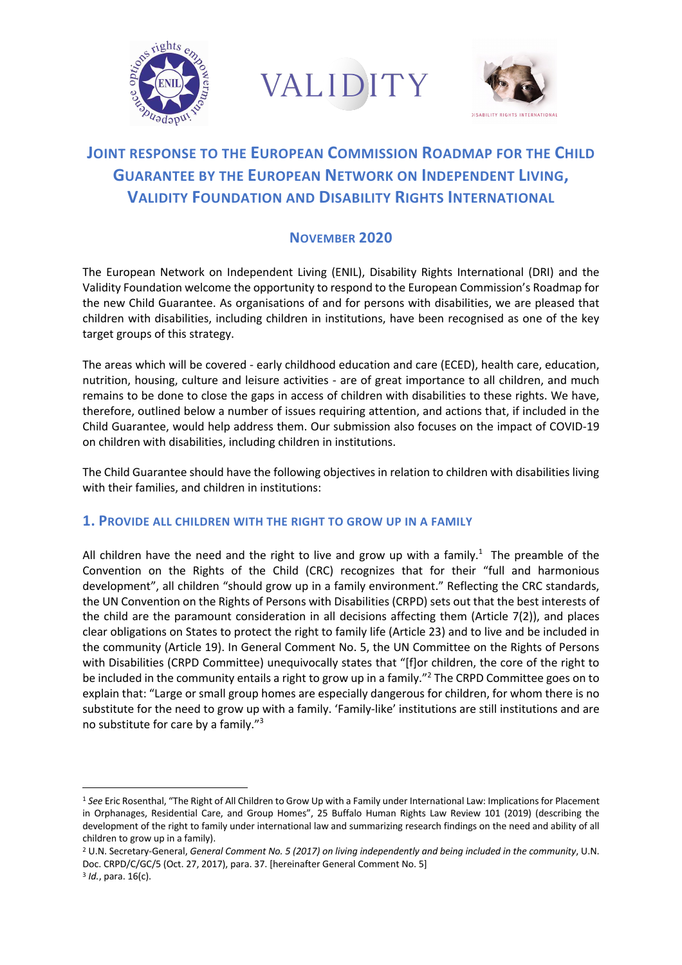





# **JOINT RESPONSE TO THE EUROPEAN COMMISSION ROADMAP FOR THE CHILD GUARANTEE BY THE EUROPEAN NETWORK ON INDEPENDENT LIVING, VALIDITY FOUNDATION AND DISABILITY RIGHTS INTERNATIONAL**

## **NOVEMBER 2020**

The European Network on Independent Living (ENIL), Disability Rights International (DRI) and the Validity Foundation welcome the opportunity to respond to the European Commission's Roadmap for the new Child Guarantee. As organisations of and for persons with disabilities, we are pleased that children with disabilities, including children in institutions, have been recognised as one of the key target groups of this strategy.

The areas which will be covered - early childhood education and care (ECED), health care, education, nutrition, housing, culture and leisure activities - are of great importance to all children, and much remains to be done to close the gaps in access of children with disabilities to these rights. We have, therefore, outlined below a number of issues requiring attention, and actions that, if included in the Child Guarantee, would help address them. Our submission also focuses on the impact of COVID-19 on children with disabilities, including children in institutions.

The Child Guarantee should have the following objectives in relation to children with disabilities living with their families, and children in institutions:

#### **1. PROVIDE ALL CHILDREN WITH THE RIGHT TO GROW UP IN A FAMILY**

All children have the need and the right to live and grow up with a family.<sup>1</sup> The preamble of the Convention on the Rights of the Child (CRC) recognizes that for their "full and harmonious development", all children "should grow up in a family environment." Reflecting the CRC standards, the UN Convention on the Rights of Persons with Disabilities (CRPD) sets out that the best interests of the child are the paramount consideration in all decisions affecting them (Article 7(2)), and places clear obligations on States to protect the right to family life (Article 23) and to live and be included in the community (Article 19). In General Comment No. 5, the UN Committee on the Rights of Persons with Disabilities (CRPD Committee) unequivocally states that "[f]or children, the core of the right to be included in the community entails a right to grow up in a family."2 The CRPD Committee goes on to explain that: "Large or small group homes are especially dangerous for children, for whom there is no substitute for the need to grow up with a family. 'Family-like' institutions are still institutions and are no substitute for care by a family."3

<sup>1</sup> *See* Eric Rosenthal, "The Right of All Children to Grow Up with a Family under International Law: Implications for Placement in Orphanages, Residential Care, and Group Homes", 25 Buffalo Human Rights Law Review 101 (2019) (describing the development of the right to family under international law and summarizing research findings on the need and ability of all children to grow up in a family).

<sup>2</sup> U.N. Secretary-General, *General Comment No. 5 (2017) on living independently and being included in the community*, U.N. Doc. CRPD/C/GC/5 (Oct. 27, 2017), para. 37. [hereinafter General Comment No. 5] <sup>3</sup> *Id.*, para. 16(c).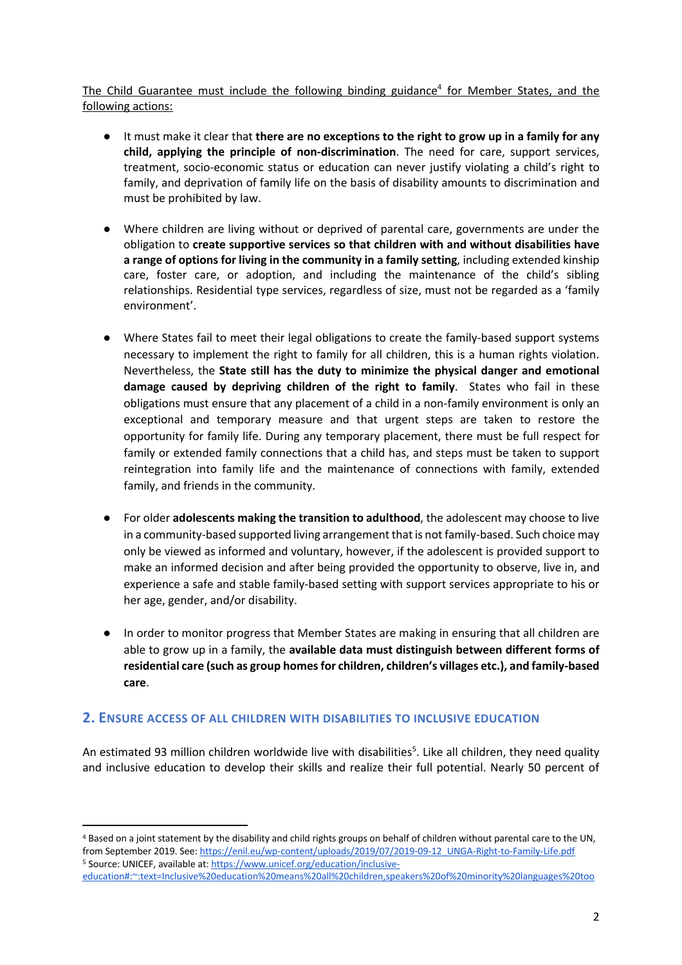The Child Guarantee must include the following binding guidance<sup>4</sup> for Member States, and the following actions:

- It must make it clear that **there are no exceptions to the right to grow up in a family for any child, applying the principle of non-discrimination**. The need for care, support services, treatment, socio-economic status or education can never justify violating a child's right to family, and deprivation of family life on the basis of disability amounts to discrimination and must be prohibited by law.
- Where children are living without or deprived of parental care, governments are under the obligation to **create supportive services so that children with and without disabilities have a range of options for living in the community in a family setting**, including extended kinship care, foster care, or adoption, and including the maintenance of the child's sibling relationships. Residential type services, regardless of size, must not be regarded as a 'family environment'.
- Where States fail to meet their legal obligations to create the family-based support systems necessary to implement the right to family for all children, this is a human rights violation. Nevertheless, the **State still has the duty to minimize the physical danger and emotional damage caused by depriving children of the right to family**. States who fail in these obligations must ensure that any placement of a child in a non-family environment is only an exceptional and temporary measure and that urgent steps are taken to restore the opportunity for family life. During any temporary placement, there must be full respect for family or extended family connections that a child has, and steps must be taken to support reintegration into family life and the maintenance of connections with family, extended family, and friends in the community.
- For older **adolescents making the transition to adulthood**, the adolescent may choose to live in a community-based supported living arrangement that is not family-based. Such choice may only be viewed as informed and voluntary, however, if the adolescent is provided support to make an informed decision and after being provided the opportunity to observe, live in, and experience a safe and stable family-based setting with support services appropriate to his or her age, gender, and/or disability.
- In order to monitor progress that Member States are making in ensuring that all children are able to grow up in a family, the **available data must distinguish between different forms of residential care (such as group homes for children, children's villages etc.), and family-based care**.

#### **2. ENSURE ACCESS OF ALL CHILDREN WITH DISABILITIES TO INCLUSIVE EDUCATION**

An estimated 93 million children worldwide live with disabilities<sup>5</sup>. Like all children, they need quality and inclusive education to develop their skills and realize their full potential. Nearly 50 percent of

<sup>4</sup> Based on a joint statement by the disability and child rights groups on behalf of children without parental care to the UN, from September 2019. See: https://enil.eu/wp-content/uploads/2019/07/2019-09-12\_UNGA-Right-to-Family-Life.pdf <sup>5</sup> Source: UNICEF, available at: https://www.unicef.org/education/inclusiveeducation#:~:text=Inclusive%20education%20means%20all%20children,speakers%20of%20minority%20languages%20too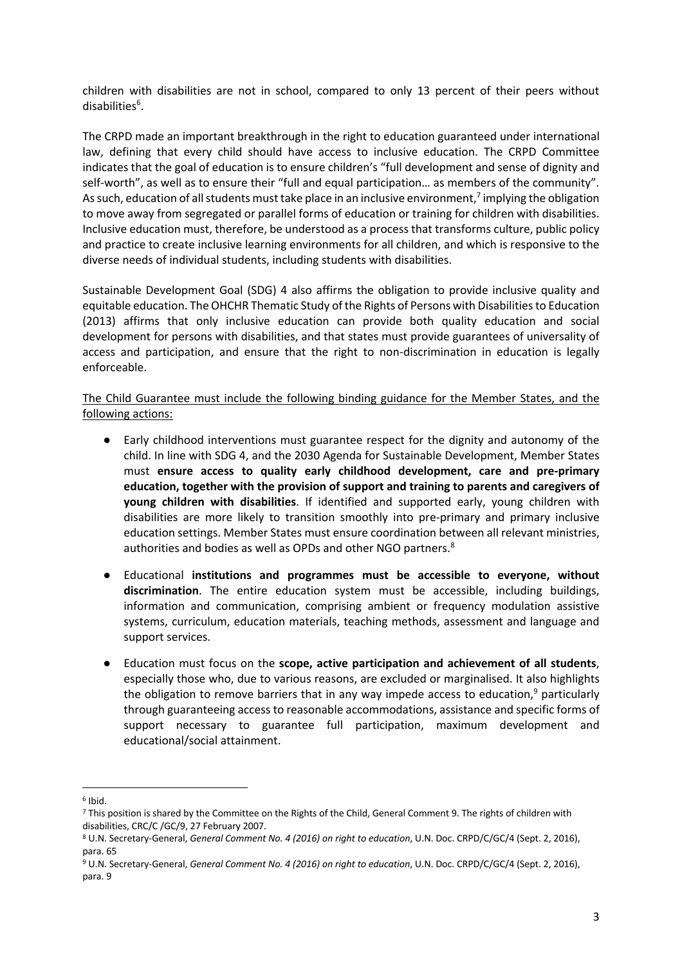children with disabilities are not in school, compared to only 13 percent of their peers without disabilities<sup>6</sup>.

The CRPD made an important breakthrough in the right to education guaranteed under international law, defining that every child should have access to inclusive education. The CRPD Committee indicates that the goal of education is to ensure children's "full development and sense of dignity and self-worth", as well as to ensure their "full and equal participation… as members of the community". As such, education of all students must take place in an inclusive environment,<sup>7</sup> implying the obligation to move away from segregated or parallel forms of education or training for children with disabilities. Inclusive education must, therefore, be understood as a process that transforms culture, public policy and practice to create inclusive learning environments for all children, and which is responsive to the diverse needs of individual students, including students with disabilities.

Sustainable Development Goal (SDG) 4 also affirms the obligation to provide inclusive quality and equitable education. The OHCHR Thematic Study of the Rights of Persons with Disabilities to Education (2013) affirms that only inclusive education can provide both quality education and social development for persons with disabilities, and that states must provide guarantees of universality of access and participation, and ensure that the right to non-discrimination in education is legally enforceable.

The Child Guarantee must include the following binding guidance for the Member States, and the following actions:

- Early childhood interventions must guarantee respect for the dignity and autonomy of the child. In line with SDG 4, and the 2030 Agenda for Sustainable Development, Member States must **ensure access to quality early childhood development, care and pre-primary education, together with the provision of support and training to parents and caregivers of young children with disabilities**. If identified and supported early, young children with disabilities are more likely to transition smoothly into pre-primary and primary inclusive education settings. Member States must ensure coordination between all relevant ministries, authorities and bodies as well as OPDs and other NGO partners.<sup>8</sup>
- Educational **institutions and programmes must be accessible to everyone, without discrimination**. The entire education system must be accessible, including buildings, information and communication, comprising ambient or frequency modulation assistive systems, curriculum, education materials, teaching methods, assessment and language and support services.
- Education must focus on the **scope, active participation and achievement of all students**, especially those who, due to various reasons, are excluded or marginalised. It also highlights the obligation to remove barriers that in any way impede access to education, $9$  particularly through guaranteeing access to reasonable accommodations, assistance and specific forms of support necessary to guarantee full participation, maximum development and educational/social attainment.

 $6$  Ibid.

<sup>7</sup> This position is shared by the Committee on the Rights of the Child, General Comment 9. The rights of children with disabilities, CRC/C /GC/9, 27 February 2007.

<sup>8</sup> U.N. Secretary-General, *General Comment No. 4 (2016) on right to education*, U.N. Doc. CRPD/C/GC/4 (Sept. 2, 2016), para. 65

<sup>9</sup> U.N. Secretary-General, *General Comment No. 4 (2016) on right to education*, U.N. Doc. CRPD/C/GC/4 (Sept. 2, 2016), para. 9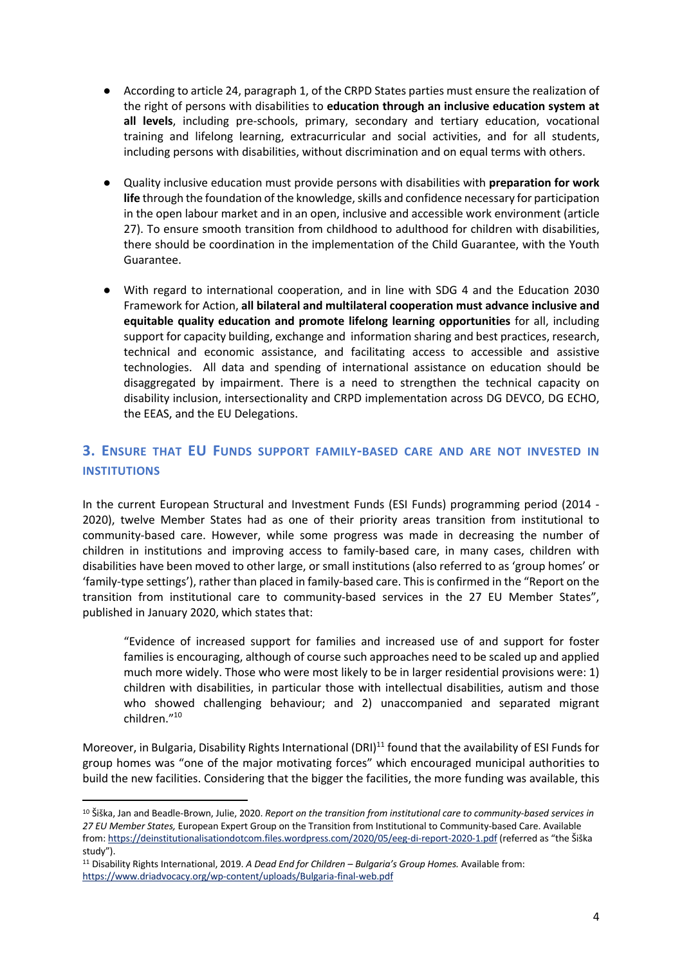- According to article 24, paragraph 1, of the CRPD States parties must ensure the realization of the right of persons with disabilities to **education through an inclusive education system at all levels**, including pre-schools, primary, secondary and tertiary education, vocational training and lifelong learning, extracurricular and social activities, and for all students, including persons with disabilities, without discrimination and on equal terms with others.
- Quality inclusive education must provide persons with disabilities with **preparation for work life** through the foundation of the knowledge, skills and confidence necessary for participation in the open labour market and in an open, inclusive and accessible work environment (article 27). To ensure smooth transition from childhood to adulthood for children with disabilities, there should be coordination in the implementation of the Child Guarantee, with the Youth Guarantee.
- With regard to international cooperation, and in line with SDG 4 and the Education 2030 Framework for Action, **all bilateral and multilateral cooperation must advance inclusive and equitable quality education and promote lifelong learning opportunities** for all, including support for capacity building, exchange and information sharing and best practices, research, technical and economic assistance, and facilitating access to accessible and assistive technologies. All data and spending of international assistance on education should be disaggregated by impairment. There is a need to strengthen the technical capacity on disability inclusion, intersectionality and CRPD implementation across DG DEVCO, DG ECHO, the EEAS, and the EU Delegations.

# **3. ENSURE THAT EU FUNDS SUPPORT FAMILY-BASED CARE AND ARE NOT INVESTED IN INSTITUTIONS**

In the current European Structural and Investment Funds (ESI Funds) programming period (2014 - 2020), twelve Member States had as one of their priority areas transition from institutional to community-based care. However, while some progress was made in decreasing the number of children in institutions and improving access to family-based care, in many cases, children with disabilities have been moved to other large, or small institutions (also referred to as 'group homes' or 'family-type settings'), rather than placed in family-based care. This is confirmed in the "Report on the transition from institutional care to community-based services in the 27 EU Member States", published in January 2020, which states that:

"Evidence of increased support for families and increased use of and support for foster families is encouraging, although of course such approaches need to be scaled up and applied much more widely. Those who were most likely to be in larger residential provisions were: 1) children with disabilities, in particular those with intellectual disabilities, autism and those who showed challenging behaviour; and 2) unaccompanied and separated migrant children."10

Moreover, in Bulgaria, Disability Rights International (DRI)<sup>11</sup> found that the availability of ESI Funds for group homes was "one of the major motivating forces" which encouraged municipal authorities to build the new facilities. Considering that the bigger the facilities, the more funding was available, this

<sup>10</sup> Šiška, Jan and Beadle-Brown, Julie, 2020. *Report on the transition from institutional care to community-based services in 27 EU Member States,* European Expert Group on the Transition from Institutional to Community-based Care. Available from: https://deinstitutionalisationdotcom.files.wordpress.com/2020/05/eeg-di-report-2020-1.pdf (referred as "the Šiška study").

<sup>11</sup> Disability Rights International, 2019. *A Dead End for Children – Bulgaria's Group Homes.* Available from: https://www.driadvocacy.org/wp-content/uploads/Bulgaria-final-web.pdf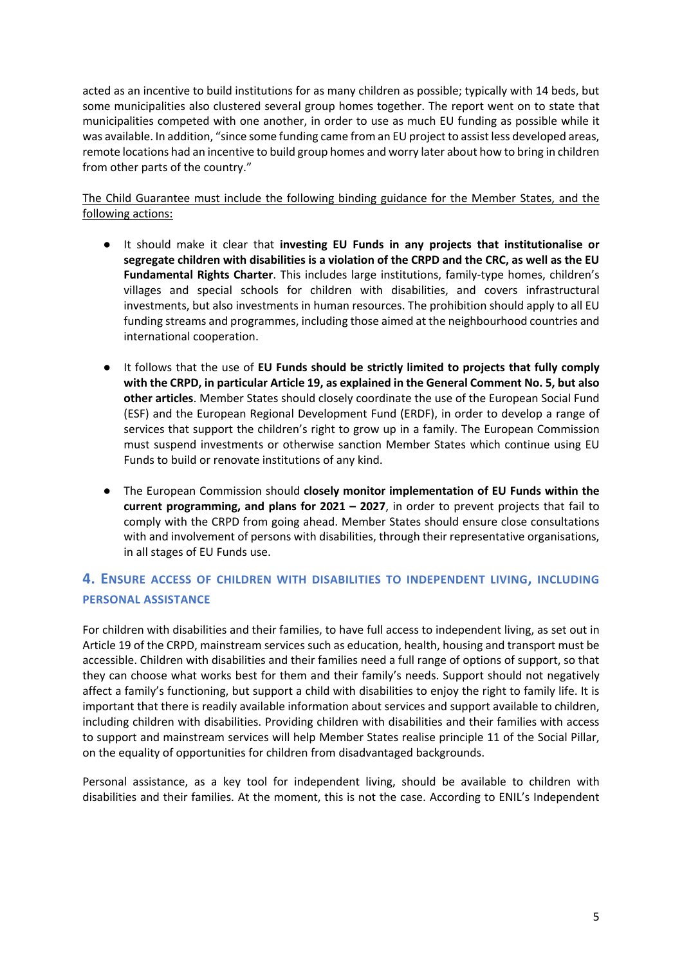acted as an incentive to build institutions for as many children as possible; typically with 14 beds, but some municipalities also clustered several group homes together. The report went on to state that municipalities competed with one another, in order to use as much EU funding as possible while it was available. In addition, "since some funding came from an EU project to assist less developed areas, remote locations had an incentive to build group homes and worry later about how to bring in children from other parts of the country."

The Child Guarantee must include the following binding guidance for the Member States, and the following actions:

- It should make it clear that **investing EU Funds in any projects that institutionalise or segregate children with disabilities is a violation of the CRPD and the CRC, as well as the EU Fundamental Rights Charter**. This includes large institutions, family-type homes, children's villages and special schools for children with disabilities, and covers infrastructural investments, but also investments in human resources. The prohibition should apply to all EU funding streams and programmes, including those aimed at the neighbourhood countries and international cooperation.
- It follows that the use of **EU Funds should be strictly limited to projects that fully comply with the CRPD, in particular Article 19, as explained in the General Comment No. 5, but also other articles**. Member States should closely coordinate the use of the European Social Fund (ESF) and the European Regional Development Fund (ERDF), in order to develop a range of services that support the children's right to grow up in a family. The European Commission must suspend investments or otherwise sanction Member States which continue using EU Funds to build or renovate institutions of any kind.
- The European Commission should **closely monitor implementation of EU Funds within the current programming, and plans for 2021 – 2027**, in order to prevent projects that fail to comply with the CRPD from going ahead. Member States should ensure close consultations with and involvement of persons with disabilities, through their representative organisations, in all stages of EU Funds use.

### **4. ENSURE ACCESS OF CHILDREN WITH DISABILITIES TO INDEPENDENT LIVING, INCLUDING PERSONAL ASSISTANCE**

For children with disabilities and their families, to have full access to independent living, as set out in Article 19 of the CRPD, mainstream services such as education, health, housing and transport must be accessible. Children with disabilities and their families need a full range of options of support, so that they can choose what works best for them and their family's needs. Support should not negatively affect a family's functioning, but support a child with disabilities to enjoy the right to family life. It is important that there is readily available information about services and support available to children, including children with disabilities. Providing children with disabilities and their families with access to support and mainstream services will help Member States realise principle 11 of the Social Pillar, on the equality of opportunities for children from disadvantaged backgrounds.

Personal assistance, as a key tool for independent living, should be available to children with disabilities and their families. At the moment, this is not the case. According to ENIL's Independent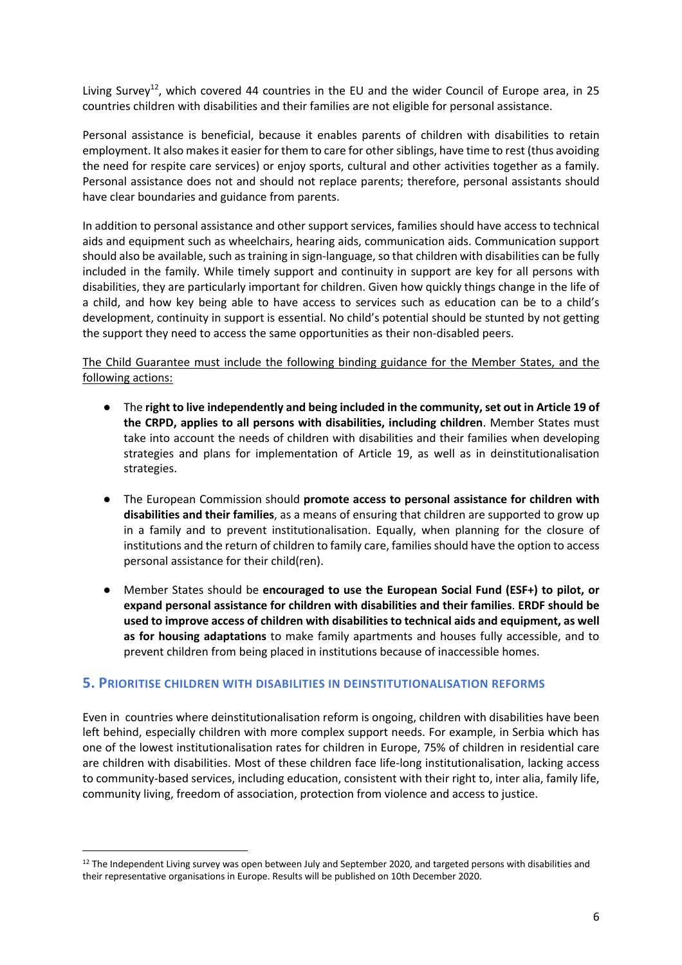Living Survey<sup>12</sup>, which covered 44 countries in the EU and the wider Council of Europe area, in 25 countries children with disabilities and their families are not eligible for personal assistance.

Personal assistance is beneficial, because it enables parents of children with disabilities to retain employment. It also makes it easier for them to care for other siblings, have time to rest (thus avoiding the need for respite care services) or enjoy sports, cultural and other activities together as a family. Personal assistance does not and should not replace parents; therefore, personal assistants should have clear boundaries and guidance from parents.

In addition to personal assistance and other support services, families should have access to technical aids and equipment such as wheelchairs, hearing aids, communication aids. Communication support should also be available, such as training in sign-language, so that children with disabilities can be fully included in the family. While timely support and continuity in support are key for all persons with disabilities, they are particularly important for children. Given how quickly things change in the life of a child, and how key being able to have access to services such as education can be to a child's development, continuity in support is essential. No child's potential should be stunted by not getting the support they need to access the same opportunities as their non-disabled peers.

#### The Child Guarantee must include the following binding guidance for the Member States, and the following actions:

- The **right to live independently and being included in the community, set out in Article 19 of the CRPD, applies to all persons with disabilities, including children**. Member States must take into account the needs of children with disabilities and their families when developing strategies and plans for implementation of Article 19, as well as in deinstitutionalisation strategies.
- The European Commission should **promote access to personal assistance for children with disabilities and their families**, as a means of ensuring that children are supported to grow up in a family and to prevent institutionalisation. Equally, when planning for the closure of institutions and the return of children to family care, families should have the option to access personal assistance for their child(ren).
- Member States should be **encouraged to use the European Social Fund (ESF+) to pilot, or expand personal assistance for children with disabilities and their families**. **ERDF should be used to improve access of children with disabilities to technical aids and equipment, as well as for housing adaptations** to make family apartments and houses fully accessible, and to prevent children from being placed in institutions because of inaccessible homes.

#### **5. PRIORITISE CHILDREN WITH DISABILITIES IN DEINSTITUTIONALISATION REFORMS**

Even in countries where deinstitutionalisation reform is ongoing, children with disabilities have been left behind, especially children with more complex support needs. For example, in Serbia which has one of the lowest institutionalisation rates for children in Europe, 75% of children in residential care are children with disabilities. Most of these children face life-long institutionalisation, lacking access to community-based services, including education, consistent with their right to, inter alia, family life, community living, freedom of association, protection from violence and access to justice.

<sup>&</sup>lt;sup>12</sup> The Independent Living survey was open between July and September 2020, and targeted persons with disabilities and their representative organisations in Europe. Results will be published on 10th December 2020.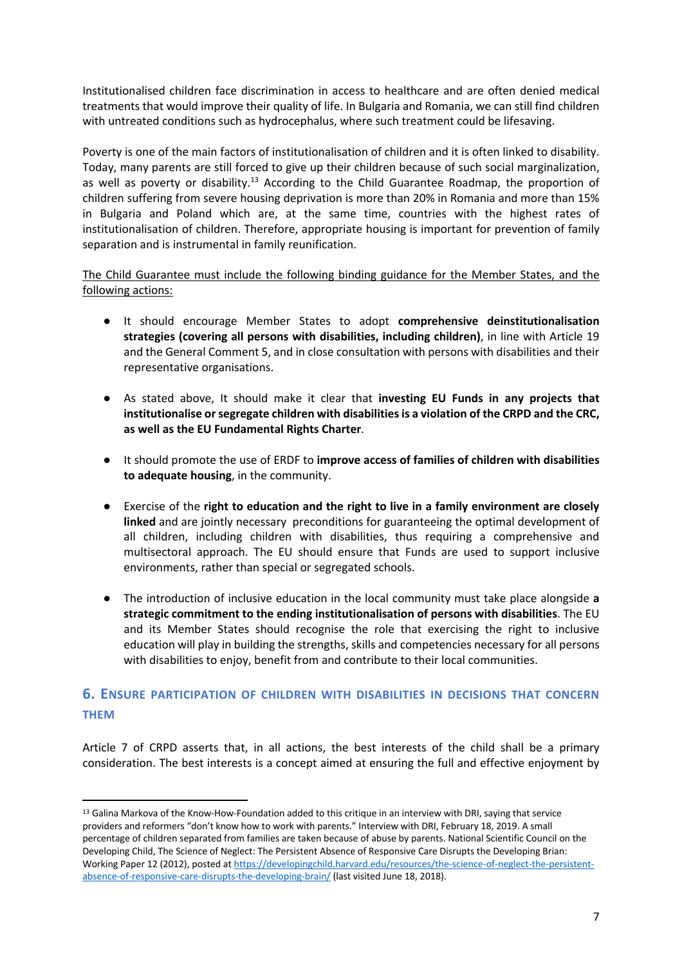Institutionalised children face discrimination in access to healthcare and are often denied medical treatments that would improve their quality of life. In Bulgaria and Romania, we can still find children with untreated conditions such as hydrocephalus, where such treatment could be lifesaving.

Poverty is one of the main factors of institutionalisation of children and it is often linked to disability. Today, many parents are still forced to give up their children because of such social marginalization, as well as poverty or disability.<sup>13</sup> According to the Child Guarantee Roadmap, the proportion of children suffering from severe housing deprivation is more than 20% in Romania and more than 15% in Bulgaria and Poland which are, at the same time, countries with the highest rates of institutionalisation of children. Therefore, appropriate housing is important for prevention of family separation and is instrumental in family reunification.

The Child Guarantee must include the following binding guidance for the Member States, and the following actions:

- It should encourage Member States to adopt **comprehensive deinstitutionalisation strategies (covering all persons with disabilities, including children)**, in line with Article 19 and the General Comment 5, and in close consultation with persons with disabilities and their representative organisations.
- As stated above, It should make it clear that **investing EU Funds in any projects that institutionalise or segregate children with disabilities is a violation of the CRPD and the CRC, as well as the EU Fundamental Rights Charter**.
- It should promote the use of ERDF to **improve access of families of children with disabilities to adequate housing**, in the community.
- Exercise of the **right to education and the right to live in a family environment are closely linked** and are jointly necessary preconditions for guaranteeing the optimal development of all children, including children with disabilities, thus requiring a comprehensive and multisectoral approach. The EU should ensure that Funds are used to support inclusive environments, rather than special or segregated schools.
- The introduction of inclusive education in the local community must take place alongside **a strategic commitment to the ending institutionalisation of persons with disabilities**. The EU and its Member States should recognise the role that exercising the right to inclusive education will play in building the strengths, skills and competencies necessary for all persons with disabilities to enjoy, benefit from and contribute to their local communities.

## **6. ENSURE PARTICIPATION OF CHILDREN WITH DISABILITIES IN DECISIONS THAT CONCERN THEM**

Article 7 of CRPD asserts that, in all actions, the best interests of the child shall be a primary consideration. The best interests is a concept aimed at ensuring the full and effective enjoyment by

<sup>&</sup>lt;sup>13</sup> Galina Markova of the Know-How-Foundation added to this critique in an interview with DRI, saying that service providers and reformers "don't know how to work with parents." Interview with DRI, February 18, 2019. A small percentage of children separated from families are taken because of abuse by parents. National Scientific Council on the Developing Child, The Science of Neglect: The Persistent Absence of Responsive Care Disrupts the Developing Brian: Working Paper 12 (2012), posted at https://developingchild.harvard.edu/resources/the-science-of-neglect-the-persistentabsence-of-responsive-care-disrupts-the-developing-brain/ (last visited June 18, 2018).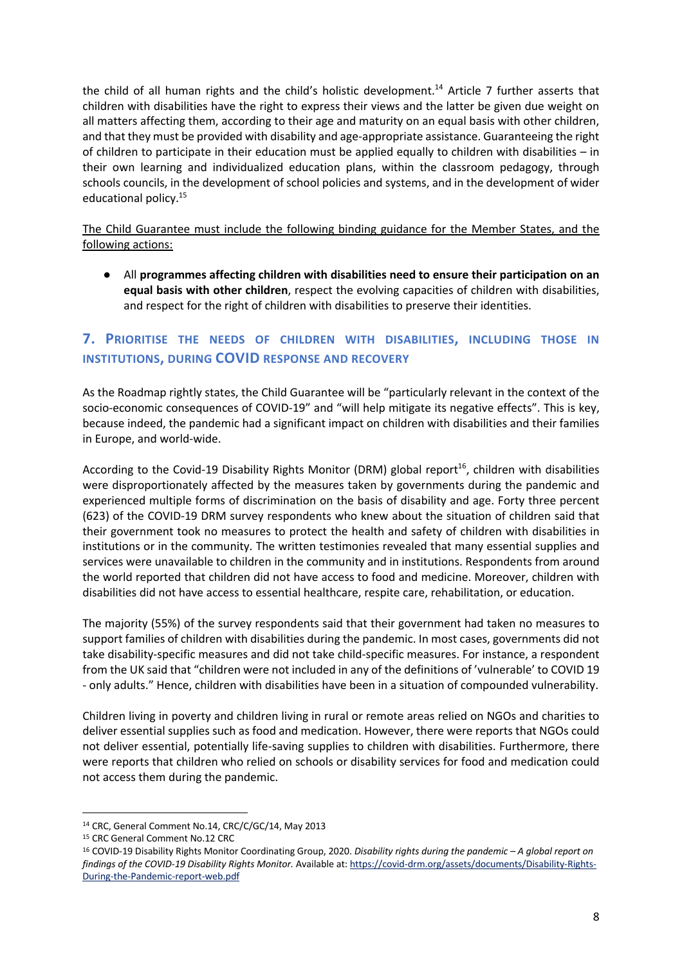the child of all human rights and the child's holistic development.<sup>14</sup> Article 7 further asserts that children with disabilities have the right to express their views and the latter be given due weight on all matters affecting them, according to their age and maturity on an equal basis with other children, and that they must be provided with disability and age-appropriate assistance. Guaranteeing the right of children to participate in their education must be applied equally to children with disabilities – in their own learning and individualized education plans, within the classroom pedagogy, through schools councils, in the development of school policies and systems, and in the development of wider educational policy.<sup>15</sup>

The Child Guarantee must include the following binding guidance for the Member States, and the following actions:

● All **programmes affecting children with disabilities need to ensure their participation on an equal basis with other children**, respect the evolving capacities of children with disabilities, and respect for the right of children with disabilities to preserve their identities.

# **7. PRIORITISE THE NEEDS OF CHILDREN WITH DISABILITIES, INCLUDING THOSE IN INSTITUTIONS, DURING COVID RESPONSE AND RECOVERY**

As the Roadmap rightly states, the Child Guarantee will be "particularly relevant in the context of the socio-economic consequences of COVID-19" and "will help mitigate its negative effects". This is key, because indeed, the pandemic had a significant impact on children with disabilities and their families in Europe, and world-wide.

According to the Covid-19 Disability Rights Monitor (DRM) global report<sup>16</sup>, children with disabilities were disproportionately affected by the measures taken by governments during the pandemic and experienced multiple forms of discrimination on the basis of disability and age. Forty three percent (623) of the COVID-19 DRM survey respondents who knew about the situation of children said that their government took no measures to protect the health and safety of children with disabilities in institutions or in the community. The written testimonies revealed that many essential supplies and services were unavailable to children in the community and in institutions. Respondents from around the world reported that children did not have access to food and medicine. Moreover, children with disabilities did not have access to essential healthcare, respite care, rehabilitation, or education.

The majority (55%) of the survey respondents said that their government had taken no measures to support families of children with disabilities during the pandemic. In most cases, governments did not take disability-specific measures and did not take child-specific measures. For instance, a respondent from the UK said that "children were not included in any of the definitions of 'vulnerable' to COVID 19 - only adults." Hence, children with disabilities have been in a situation of compounded vulnerability.

Children living in poverty and children living in rural or remote areas relied on NGOs and charities to deliver essential supplies such as food and medication. However, there were reports that NGOs could not deliver essential, potentially life-saving supplies to children with disabilities. Furthermore, there were reports that children who relied on schools or disability services for food and medication could not access them during the pandemic.

<sup>14</sup> CRC, General Comment No.14, CRC/C/GC/14, May 2013

<sup>&</sup>lt;sup>15</sup> CRC General Comment No.12 CRC

<sup>16</sup> COVID-19 Disability Rights Monitor Coordinating Group, 2020. *Disability rights during the pandemic – A global report on findings of the COVID-19 Disability Rights Monitor.* Available at: https://covid-drm.org/assets/documents/Disability-Rights-During-the-Pandemic-report-web.pdf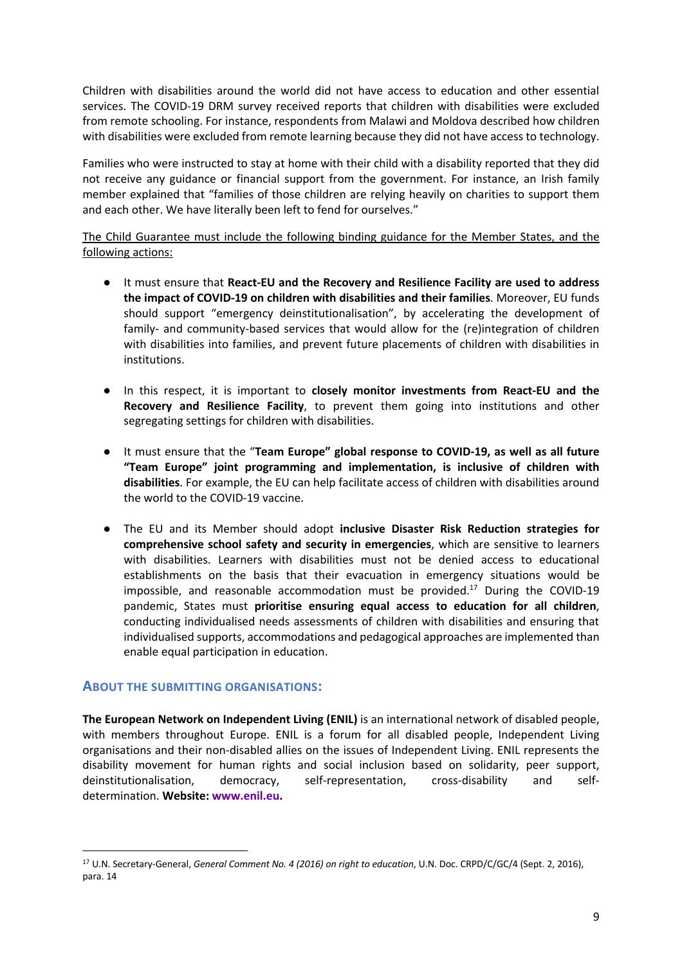Children with disabilities around the world did not have access to education and other essential services. The COVID-19 DRM survey received reports that children with disabilities were excluded from remote schooling. For instance, respondents from Malawi and Moldova described how children with disabilities were excluded from remote learning because they did not have access to technology.

Families who were instructed to stay at home with their child with a disability reported that they did not receive any guidance or financial support from the government. For instance, an Irish family member explained that "families of those children are relying heavily on charities to support them and each other. We have literally been left to fend for ourselves."

The Child Guarantee must include the following binding guidance for the Member States, and the following actions:

- It must ensure that **React-EU and the Recovery and Resilience Facility are used to address the impact of COVID-19 on children with disabilities and their families**. Moreover, EU funds should support "emergency deinstitutionalisation", by accelerating the development of family- and community-based services that would allow for the (re)integration of children with disabilities into families, and prevent future placements of children with disabilities in institutions.
- In this respect, it is important to **closely monitor investments from React-EU and the Recovery and Resilience Facility**, to prevent them going into institutions and other segregating settings for children with disabilities.
- It must ensure that the "**Team Europe" global response to COVID-19, as well as all future "Team Europe" joint programming and implementation, is inclusive of children with disabilities**. For example, the EU can help facilitate access of children with disabilities around the world to the COVID-19 vaccine.
- The EU and its Member should adopt **inclusive Disaster Risk Reduction strategies for comprehensive school safety and security in emergencies**, which are sensitive to learners with disabilities. Learners with disabilities must not be denied access to educational establishments on the basis that their evacuation in emergency situations would be impossible, and reasonable accommodation must be provided. $^{17}$  During the COVID-19 pandemic, States must **prioritise ensuring equal access to education for all children**, conducting individualised needs assessments of children with disabilities and ensuring that individualised supports, accommodations and pedagogical approaches are implemented than enable equal participation in education.

#### **ABOUT THE SUBMITTING ORGANISATIONS:**

**The European Network on Independent Living (ENIL)** is an international network of disabled people, with members throughout Europe. ENIL is a forum for all disabled people, Independent Living organisations and their non-disabled allies on the issues of Independent Living. ENIL represents the disability movement for human rights and social inclusion based on solidarity, peer support, deinstitutionalisation, democracy, self-representation, cross-disability and selfdetermination. **Website: www.enil.eu.**

<sup>17</sup> U.N. Secretary-General, *General Comment No. 4 (2016) on right to education*, U.N. Doc. CRPD/C/GC/4 (Sept. 2, 2016), para. 14